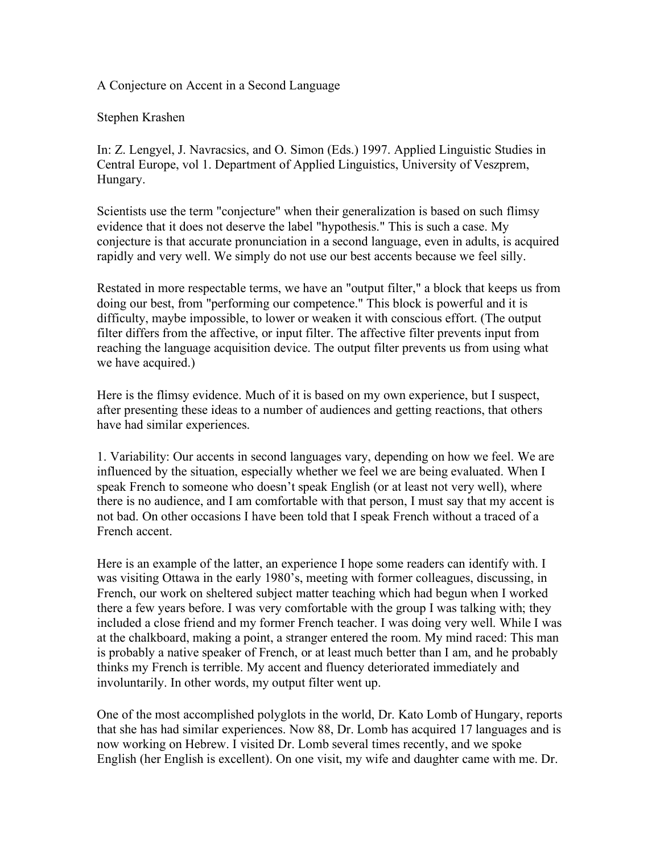A Conjecture on Accent in a Second Language

## Stephen Krashen

In: Z. Lengyel, J. Navracsics, and O. Simon (Eds.) 1997. Applied Linguistic Studies in Central Europe, vol 1. Department of Applied Linguistics, University of Veszprem, Hungary.

Scientists use the term "conjecture" when their generalization is based on such flimsy evidence that it does not deserve the label "hypothesis." This is such a case. My conjecture is that accurate pronunciation in a second language, even in adults, is acquired rapidly and very well. We simply do not use our best accents because we feel silly.

Restated in more respectable terms, we have an "output filter," a block that keeps us from doing our best, from "performing our competence." This block is powerful and it is difficulty, maybe impossible, to lower or weaken it with conscious effort. (The output filter differs from the affective, or input filter. The affective filter prevents input from reaching the language acquisition device. The output filter prevents us from using what we have acquired.)

Here is the flimsy evidence. Much of it is based on my own experience, but I suspect, after presenting these ideas to a number of audiences and getting reactions, that others have had similar experiences.

1. Variability: Our accents in second languages vary, depending on how we feel. We are influenced by the situation, especially whether we feel we are being evaluated. When I speak French to someone who doesn't speak English (or at least not very well), where there is no audience, and I am comfortable with that person, I must say that my accent is not bad. On other occasions I have been told that I speak French without a traced of a French accent.

Here is an example of the latter, an experience I hope some readers can identify with. I was visiting Ottawa in the early 1980's, meeting with former colleagues, discussing, in French, our work on sheltered subject matter teaching which had begun when I worked there a few years before. I was very comfortable with the group I was talking with; they included a close friend and my former French teacher. I was doing very well. While I was at the chalkboard, making a point, a stranger entered the room. My mind raced: This man is probably a native speaker of French, or at least much better than I am, and he probably thinks my French is terrible. My accent and fluency deteriorated immediately and involuntarily. In other words, my output filter went up.

One of the most accomplished polyglots in the world, Dr. Kato Lomb of Hungary, reports that she has had similar experiences. Now 88, Dr. Lomb has acquired 17 languages and is now working on Hebrew. I visited Dr. Lomb several times recently, and we spoke English (her English is excellent). On one visit, my wife and daughter came with me. Dr.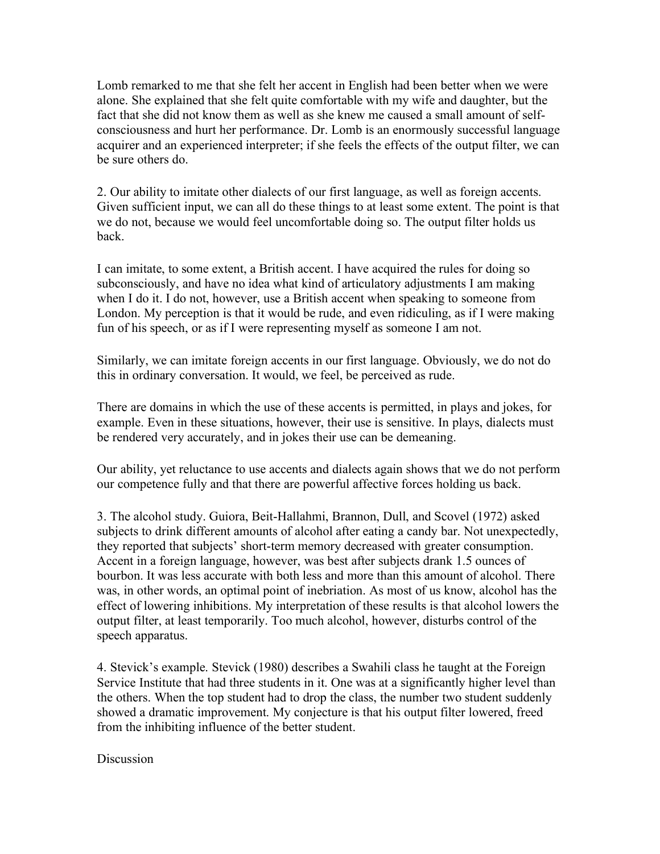Lomb remarked to me that she felt her accent in English had been better when we were alone. She explained that she felt quite comfortable with my wife and daughter, but the fact that she did not know them as well as she knew me caused a small amount of selfconsciousness and hurt her performance. Dr. Lomb is an enormously successful language acquirer and an experienced interpreter; if she feels the effects of the output filter, we can be sure others do.

2. Our ability to imitate other dialects of our first language, as well as foreign accents. Given sufficient input, we can all do these things to at least some extent. The point is that we do not, because we would feel uncomfortable doing so. The output filter holds us back.

I can imitate, to some extent, a British accent. I have acquired the rules for doing so subconsciously, and have no idea what kind of articulatory adjustments I am making when I do it. I do not, however, use a British accent when speaking to someone from London. My perception is that it would be rude, and even ridiculing, as if I were making fun of his speech, or as if I were representing myself as someone I am not.

Similarly, we can imitate foreign accents in our first language. Obviously, we do not do this in ordinary conversation. It would, we feel, be perceived as rude.

There are domains in which the use of these accents is permitted, in plays and jokes, for example. Even in these situations, however, their use is sensitive. In plays, dialects must be rendered very accurately, and in jokes their use can be demeaning.

Our ability, yet reluctance to use accents and dialects again shows that we do not perform our competence fully and that there are powerful affective forces holding us back.

3. The alcohol study. Guiora, Beit-Hallahmi, Brannon, Dull, and Scovel (1972) asked subjects to drink different amounts of alcohol after eating a candy bar. Not unexpectedly, they reported that subjects' short-term memory decreased with greater consumption. Accent in a foreign language, however, was best after subjects drank 1.5 ounces of bourbon. It was less accurate with both less and more than this amount of alcohol. There was, in other words, an optimal point of inebriation. As most of us know, alcohol has the effect of lowering inhibitions. My interpretation of these results is that alcohol lowers the output filter, at least temporarily. Too much alcohol, however, disturbs control of the speech apparatus.

4. Stevick's example. Stevick (1980) describes a Swahili class he taught at the Foreign Service Institute that had three students in it. One was at a significantly higher level than the others. When the top student had to drop the class, the number two student suddenly showed a dramatic improvement. My conjecture is that his output filter lowered, freed from the inhibiting influence of the better student.

Discussion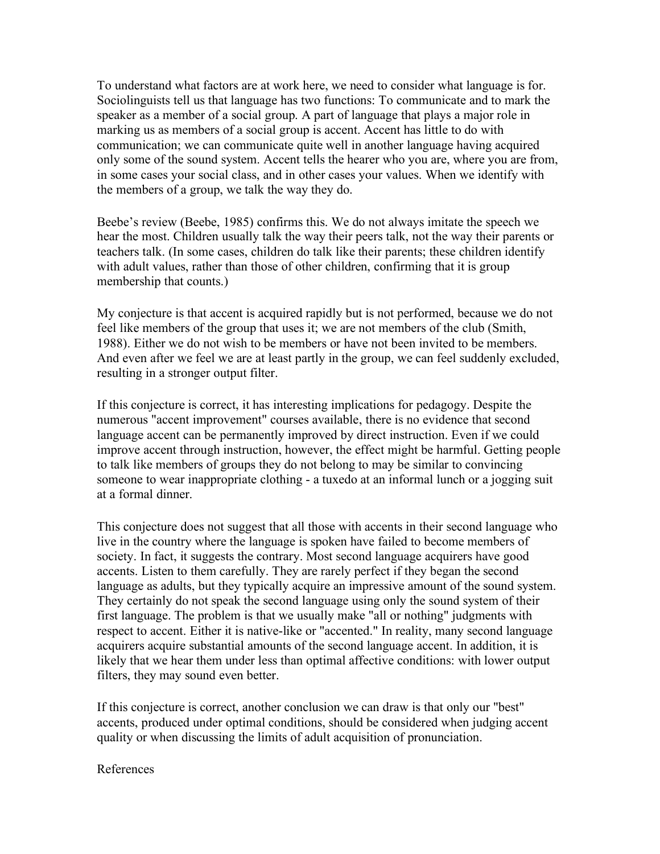To understand what factors are at work here, we need to consider what language is for. Sociolinguists tell us that language has two functions: To communicate and to mark the speaker as a member of a social group. A part of language that plays a major role in marking us as members of a social group is accent. Accent has little to do with communication; we can communicate quite well in another language having acquired only some of the sound system. Accent tells the hearer who you are, where you are from, in some cases your social class, and in other cases your values. When we identify with the members of a group, we talk the way they do.

Beebe's review (Beebe, 1985) confirms this. We do not always imitate the speech we hear the most. Children usually talk the way their peers talk, not the way their parents or teachers talk. (In some cases, children do talk like their parents; these children identify with adult values, rather than those of other children, confirming that it is group membership that counts.)

My conjecture is that accent is acquired rapidly but is not performed, because we do not feel like members of the group that uses it; we are not members of the club (Smith, 1988). Either we do not wish to be members or have not been invited to be members. And even after we feel we are at least partly in the group, we can feel suddenly excluded, resulting in a stronger output filter.

If this conjecture is correct, it has interesting implications for pedagogy. Despite the numerous "accent improvement" courses available, there is no evidence that second language accent can be permanently improved by direct instruction. Even if we could improve accent through instruction, however, the effect might be harmful. Getting people to talk like members of groups they do not belong to may be similar to convincing someone to wear inappropriate clothing - a tuxedo at an informal lunch or a jogging suit at a formal dinner.

This conjecture does not suggest that all those with accents in their second language who live in the country where the language is spoken have failed to become members of society. In fact, it suggests the contrary. Most second language acquirers have good accents. Listen to them carefully. They are rarely perfect if they began the second language as adults, but they typically acquire an impressive amount of the sound system. They certainly do not speak the second language using only the sound system of their first language. The problem is that we usually make "all or nothing" judgments with respect to accent. Either it is native-like or "accented." In reality, many second language acquirers acquire substantial amounts of the second language accent. In addition, it is likely that we hear them under less than optimal affective conditions: with lower output filters, they may sound even better.

If this conjecture is correct, another conclusion we can draw is that only our "best" accents, produced under optimal conditions, should be considered when judging accent quality or when discussing the limits of adult acquisition of pronunciation.

## References